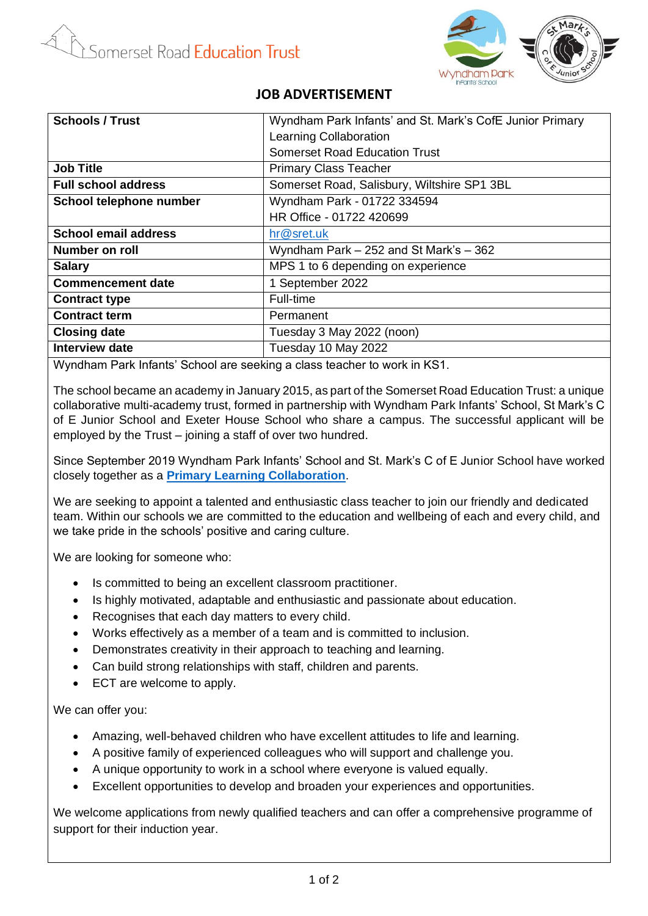

## **JOB ADVERTISEMENT**

| <b>Schools / Trust</b>      | Wyndham Park Infants' and St. Mark's CofE Junior Primary |
|-----------------------------|----------------------------------------------------------|
|                             | Learning Collaboration                                   |
|                             | <b>Somerset Road Education Trust</b>                     |
| <b>Job Title</b>            | <b>Primary Class Teacher</b>                             |
| <b>Full school address</b>  | Somerset Road, Salisbury, Wiltshire SP1 3BL              |
| School telephone number     | Wyndham Park - 01722 334594                              |
|                             | HR Office - 01722 420699                                 |
| <b>School email address</b> | hr@sret.uk                                               |
| <b>Number on roll</b>       | Wyndham Park - 252 and St Mark's - 362                   |
| <b>Salary</b>               | MPS 1 to 6 depending on experience                       |
| <b>Commencement date</b>    | 1 September 2022                                         |
| <b>Contract type</b>        | Full-time                                                |
| <b>Contract term</b>        | Permanent                                                |
| <b>Closing date</b>         | Tuesday 3 May 2022 (noon)                                |
| Interview date              | Tuesday 10 May 2022                                      |
|                             |                                                          |

Wyndham Park Infants' School are seeking a class teacher to work in KS1.

The school became an academy in January 2015, as part of the Somerset Road Education Trust: a unique collaborative multi-academy trust, formed in partnership with Wyndham Park Infants' School, St Mark's C of E Junior School and Exeter House School who share a campus. The successful applicant will be employed by the Trust – joining a staff of over two hundred.

Since September 2019 Wyndham Park Infants' School and St. Mark's C of E Junior School have worked closely together as a **[Primary Learning Collaboration](https://st-marks.wilts.sch.uk/primary-learning-collaboration/)**.

We are seeking to appoint a talented and enthusiastic class teacher to join our friendly and dedicated team. Within our schools we are committed to the education and wellbeing of each and every child, and we take pride in the schools' positive and caring culture.

We are looking for someone who:

- Is committed to being an excellent classroom practitioner.
- Is highly motivated, adaptable and enthusiastic and passionate about education.
- Recognises that each day matters to every child.
- Works effectively as a member of a team and is committed to inclusion.
- Demonstrates creativity in their approach to teaching and learning.
- Can build strong relationships with staff, children and parents.
- ECT are welcome to apply.

We can offer you:

- Amazing, well-behaved children who have excellent attitudes to life and learning.
- A positive family of experienced colleagues who will support and challenge you.
- A unique opportunity to work in a school where everyone is valued equally.
- Excellent opportunities to develop and broaden your experiences and opportunities.

We welcome applications from newly qualified teachers and can offer a comprehensive programme of support for their induction year.